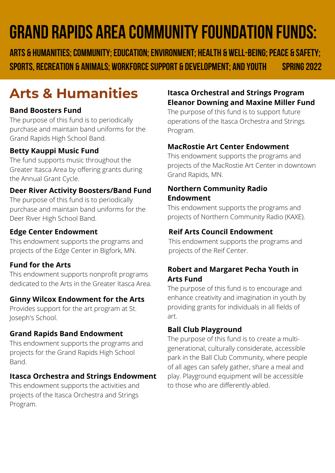# **grand rapids area communityfoundation funds:**

**Arts & Humanities;Community;education;environment; Health & well-being;peace & safety; sports, recreation & animals; workforcesupport & development; and youth spring2022**

## **Arts & Humanities**

#### **Band Boosters Fund**

The purpose of this fund is to periodically purchase and maintain band uniforms for the Grand Rapids High School Band.

#### **Betty Kauppi Music Fund**

The fund supports music throughout the Greater Itasca Area by offering grants during the Annual Grant Cycle.

#### **Deer River Activity Boosters/Band Fund**

The purpose of this fund is to periodically purchase and maintain band uniforms for the Deer River High School Band.

#### **Edge Center Endowment**

This endowment supports the programs and projects of the Edge Center in Bigfork, MN.

#### **Fund for the Arts**

This endowment supports nonprofit programs dedicated to the Arts in the Greater Itasca Area.

#### **Ginny Wilcox Endowment for the Arts**

Provides support for the art program at St. Joseph's School.

#### **Grand Rapids Band Endowment**

This endowment supports the programs and projects for the Grand Rapids High School Band.

#### **Itasca Orchestra and Strings Endowment**

This endowment supports the activities and projects of the Itasca Orchestra and Strings Program.

#### **Itasca Orchestral and Strings Program Eleanor Downing and Maxine Miller Fund**

The purpose of this fund is to support future operations of the Itasca Orchestra and Strings Program.

#### **MacRostie Art Center Endowment**

This endowment supports the programs and projects of the MacRostie Art Center in downtown Grand Rapids, MN.

#### **Northern Community Radio Endowment**

This endowment supports the programs and projects of Northern Community Radio (KAXE).

#### **Reif Arts Council Endowment**

This endowment supports the programs and projects of the Reif Center.

#### **Robert and Margaret Pecha Youth in Arts Fund**

The purpose of this fund is to encourage and enhance creativity and imagination in youth by providing grants for individuals in all fields of art.

#### **Ball Club Playground**

The purpose of this fund is to create a multigenerational, culturally considerate, accessible park in the Ball Club Community, where people of all ages can safely gather, share a meal and play. Playground equipment will be accessible to those who are differently-abled.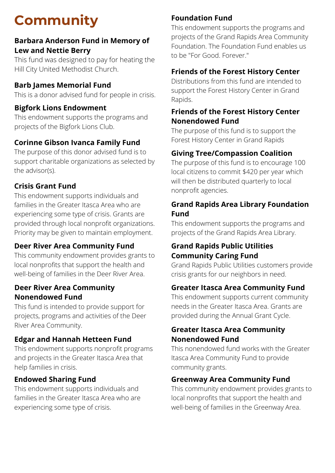# **Community**

#### **Barbara Anderson Fund in Memory of Lew and Nettie Berry**

This fund was designed to pay for heating the Hill City United Methodist Church.

#### **Barb James Memorial Fund**

This is a donor advised fund for people in crisis.

#### **Bigfork Lions Endowment**

This endowment supports the programs and projects of the Bigfork Lions Club.

#### **Corinne Gibson Ivanca Family Fund**

The purpose of this donor advised fund is to support charitable organizations as selected by the advisor(s).

#### **Crisis Grant Fund**

This endowment supports individuals and families in the Greater Itasca Area who are experiencing some type of crisis. Grants are provided through local nonprofit organizations. Priority may be given to maintain employment.

#### **Deer River Area Community Fund**

This community endowment provides grants to local nonprofits that support the health and well-being of families in the Deer River Area.

#### **Deer River Area Community Nonendowed Fund**

This fund is intended to provide support for projects, programs and activities of the Deer River Area Community.

#### **Edgar and Hannah Hetteen Fund**

This endowment supports nonprofit programs and projects in the Greater Itasca Area that help families in crisis.

#### **Endowed Sharing Fund**

This endowment supports individuals and families in the Greater Itasca Area who are experiencing some type of crisis.

#### **Foundation Fund**

This endowment supports the programs and projects of the Grand Rapids Area Community Foundation. The Foundation Fund enables us to be "For Good. Forever."

#### **Friends of the Forest History Center**

Distributions from this fund are intended to support the Forest History Center in Grand Rapids.

#### **Friends of the Forest History Center Nonendowed Fund**

The purpose of this fund is to support the Forest History Center in Grand Rapids

#### **Giving Tree/Compassion Coalition**

The purpose of this fund is to encourage 100 local citizens to commit \$420 per year which will then be distributed quarterly to local nonprofit agencies.

#### **Grand Rapids Area Library Foundation Fund**

This endowment supports the programs and projects of the Grand Rapids Area Library.

#### **Grand Rapids Public Utilities Community Caring Fund**

Grand Rapids Public Utilities customers provide crisis grants for our neighbors in need.

#### **Greater Itasca Area Community Fund**

This endowment supports current community needs in the Greater Itasca Area. Grants are provided during the Annual Grant Cycle.

#### **Greater Itasca Area Community Nonendowed Fund**

This nonendowed fund works with the Greater Itasca Area Community Fund to provide community grants.

#### **Greenway Area Community Fund**

This community endowment provides grants to local nonprofits that support the health and well-being of families in the Greenway Area.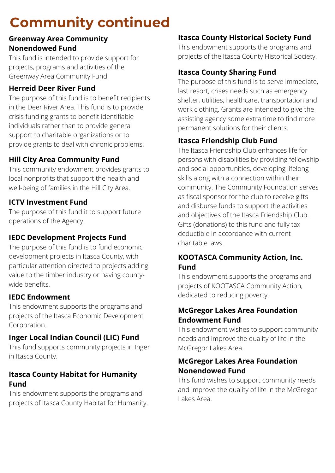## **Community continued**

#### **Greenway Area Community Nonendowed Fund**

This fund is intended to provide support for projects, programs and activities of the Greenway Area Community Fund.

#### **Herreid Deer River Fund**

The purpose of this fund is to benefit recipients in the Deer River Area. This fund is to provide crisis funding grants to benefit identifiable individuals rather than to provide general support to charitable organizations or to provide grants to deal with chronic problems.

### **Hill City Area Community Fund**

This community endowment provides grants to local nonprofits that support the health and well-being of families in the Hill City Area.

#### **ICTV Investment Fund**

The purpose of this fund it to support future operations of the Agency.

#### **IEDC Development Projects Fund**

The purpose of this fund is to fund economic development projects in Itasca County, with particular attention directed to projects adding value to the timber industry or having countywide benefits.

#### **IEDC Endowment**

This endowment supports the programs and projects of the Itasca Economic Development Corporation.

#### **Inger Local Indian Council (LIC) Fund**

This fund supports community projects in Inger in Itasca County.

#### **Itasca County Habitat for Humanity Fund**

This endowment supports the programs and projects of Itasca County Habitat for Humanity.

#### **Itasca County Historical Society Fund**

This endowment supports the programs and projects of the Itasca County Historical Society.

#### **Itasca County Sharing Fund**

The purpose of this fund is to serve immediate, last resort, crises needs such as emergency shelter, utilities, healthcare, transportation and work clothing. Grants are intended to give the assisting agency some extra time to find more permanent solutions for their clients.

#### **Itasca Friendship Club Fund**

The Itasca Friendship Club enhances life for persons with disabilities by providing fellowship and social opportunities, developing lifelong skills along with a connection within their community. The Community Foundation serves as fiscal sponsor for the club to receive gifts and disburse funds to support the activities and objectives of the Itasca Friendship Club. Gifts (donations) to this fund and fully tax deductible in accordance with current charitable laws.

#### **KOOTASCA Community Action, Inc. Fund**

This endowment supports the programs and projects of KOOTASCA Community Action, dedicated to reducing poverty.

#### **McGregor Lakes Area Foundation Endowment Fund**

This endowment wishes to support community needs and improve the quality of life in the McGregor Lakes Area.

#### **McGregor Lakes Area Foundation Nonendowed Fund**

This fund wishes to support community needs and improve the quality of life in the McGregor Lakes Area.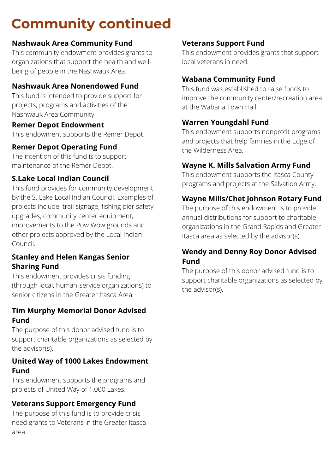## **Community continued**

#### **Nashwauk Area Community Fund**

This community endowment provides grants to organizations that support the health and wellbeing of people in the Nashwauk Area.

#### **Nashwauk Area Nonendowed Fund**

This fund is intended to provide support for projects, programs and activities of the Nashwauk Area Community.

#### **Remer Depot Endowment**

This endowment supports the Remer Depot.

#### **Remer Depot Operating Fund**

The intention of this fund is to support maintenance of the Remer Depot.

#### **S.Lake Local Indian Council**

This fund provides for community development by the S. Lake Local Indian Council. Examples of projects include: trail signage, fishing pier safety upgrades, community center equipment, improvements to the Pow Wow grounds and other projects approved by the Local Indian Council.

#### **Stanley and Helen Kangas Senior Sharing Fund**

This endowment provides crisis funding (through local, human-service organizations) to senior citizens in the Greater Itasca Area.

#### **Tim Murphy Memorial Donor Advised Fund**

The purpose of this donor advised fund is to support charitable organizations as selected by the advisor(s).

#### **United Way of 1000 Lakes Endowment Fund**

This endowment supports the programs and projects of United Way of 1,000 Lakes.

#### **Veterans Support Emergency Fund**

The purpose of this fund is to provide crisis need grants to Veterans in the Greater Itasca area.

#### **Veterans Support Fund**

This endowment provides grants that support local veterans in need.

#### **Wabana Community Fund**

This fund was established to raise funds to improve the community center/recreation area at the Wabana Town Hall.

#### **Warren Youngdahl Fund**

This endowment supports nonprofit programs and projects that help families in the Edge of the Wilderness Area.

#### **Wayne K. Mills Salvation Army Fund**

This endowment supports the Itasca County programs and projects at the Salvation Army.

#### **Wayne Mills/Chet Johnson Rotary Fund**

The purpose of this endowment is to provide annual distributions for support to charitable organizations in the Grand Rapids and Greater Itasca area as selected by the advisor(s).

#### **Wendy and Denny Roy Donor Advised Fund**

The purpose of this donor advised fund is to support charitable organizations as selected by the advisor(s).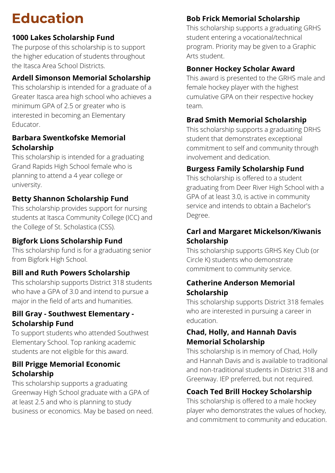# **Education**

#### **1000 Lakes Scholarship Fund**

The purpose of this scholarship is to support the higher education of students throughout the Itasca Area School Districts.

#### **Ardell Simonson Memorial Scholarship**

This scholarship is intended for a graduate of a Greater Itasca area high school who achieves a minimum GPA of 2.5 or greater who is interested in becoming an Elementary **Educator** 

#### **Barbara Swentkofske Memorial Scholarship**

This scholarship is intended for a graduating Grand Rapids High School female who is planning to attend a 4 year college or university.

#### **Betty Shannon Scholarship Fund**

This scholarship provides support for nursing students at Itasca Community College (ICC) and the College of St. Scholastica (CSS).

#### **Bigfork Lions Scholarship Fund**

This scholarship fund is for a graduating senior from Bigfork High School.

#### **Bill and Ruth Powers Scholarship**

This scholarship supports District 318 students who have a GPA of 3.0 and intend to pursue a major in the field of arts and humanities.

#### **Bill Gray - Southwest Elementary - Scholarship Fund**

To support students who attended Southwest Elementary School. Top ranking academic students are not eligible for this award.

#### **Bill Prigge Memorial Economic Scholarship**

This scholarship supports a graduating Greenway High School graduate with a GPA of at least 2.5 and who is planning to study business or economics. May be based on need.

## **Bob Frick Memorial Scholarship**

This scholarship supports a graduating GRHS student entering a vocational/technical program. Priority may be given to a Graphic Arts student.

## **Bonner Hockey Scholar Award**

This award is presented to the GRHS male and female hockey player with the highest cumulative GPA on their respective hockey team.

## **Brad Smith Memorial Scholarship**

This scholarship supports a graduating DRHS student that demonstrates exceptional commitment to self and community through involvement and dedication.

## **Burgess Family Scholarship Fund**

This scholarship is offered to a student graduating from Deer River High School with a GPA of at least 3.0, is active in community service and intends to obtain a Bachelor's Degree.

### **Carl and Margaret Mickelson/Kiwanis Scholarship**

This scholarship supports GRHS Key Club (or Circle K) students who demonstrate commitment to community service.

#### **Catherine Anderson Memorial Scholarship**

This scholarship supports District 318 females who are interested in pursuing a career in education.

#### **Chad, Holly, and Hannah Davis Memorial Scholarship**

This scholarship is in memory of Chad, Holly and Hannah Davis and is available to traditional and non-traditional students in District 318 and Greenway. IEP preferred, but not required.

## **Coach Ted Brill Hockey Scholarship**

This scholarship is offered to a male hockey player who demonstrates the values of hockey, and commitment to community and education.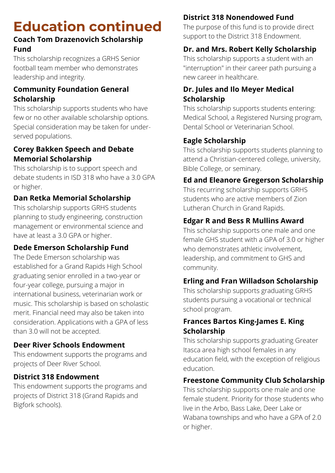### **Coach Tom Drazenovich Scholarship Fund**

This scholarship recognizes a GRHS Senior football team member who demonstrates leadership and integrity.

### **Community Foundation General Scholarship**

This scholarship supports students who have few or no other available scholarship options. Special consideration may be taken for underserved populations.

### **Corey Bakken Speech and Debate Memorial Scholarship**

This scholarship is to support speech and debate students in ISD 318 who have a 3.0 GPA or higher.

## **Dan Retka Memorial Scholarship**

This scholarship supports GRHS students planning to study engineering, construction management or environmental science and have at least a 3.0 GPA or higher.

## **Dede Emerson Scholarship Fund**

The Dede Emerson scholarship was established for a Grand Rapids High School graduating senior enrolled in a two-year or four-year college, pursuing a major in international business, veterinarian work or music. This scholarship is based on scholastic merit. Financial need may also be taken into consideration. Applications with a GPA of less than 3.0 will not be accepted.

## **Deer River Schools Endowment**

This endowment supports the programs and projects of Deer River School.

## **District 318 Endowment**

This endowment supports the programs and projects of District 318 (Grand Rapids and Bigfork schools).

## **District 318 Nonendowed Fund**

The purpose of this fund is to provide direct support to the District 318 Endowment.

## **Dr. and Mrs. Robert Kelly Scholarship**

This scholarship supports a student with an "interruption" in their career path pursuing a new career in healthcare.

#### **Dr. Jules and Ilo Meyer Medical Scholarship**

This scholarship supports students entering: Medical School, a Registered Nursing program, Dental School or Veterinarian School.

## **Eagle Scholarship**

This scholarship supports students planning to attend a Christian-centered college, university, Bible College, or seminary.

## **Ed and Eleanore Gregerson Scholarship**

This recurring scholarship supports GRHS students who are active members of Zion Lutheran Church in Grand Rapids.

## **Edgar R and Bess R Mullins Award**

This scholarship supports one male and one female GHS student with a GPA of 3.0 or higher who demonstrates athletic involvement, leadership, and commitment to GHS and community.

## **Erling and Fran Willadson Scholarship**

This scholarship supports graduating GRHS students pursuing a vocational or technical school program.

#### **Frances Bartos King-James E. King Scholarship**

This scholarship supports graduating Greater Itasca area high school females in any education field, with the exception of religious education.

## **Freestone Community Club Scholarship**

This scholarship supports one male and one female student. Priority for those students who live in the Arbo, Bass Lake, Deer Lake or Wabana townships and who have a GPA of 2.0 or higher.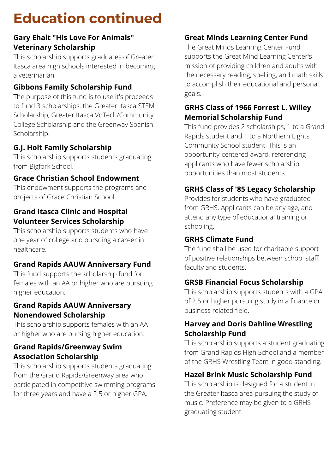#### **Gary Ehalt "His Love For Animals" Veterinary Scholarship**

This scholarship supports graduates of Greater Itasca area high schools interested in becoming a veterinarian.

## **Gibbons Family Scholarship Fund**

The purpose of this fund is to use it's proceeds to fund 3 scholarships: the Greater Itasca STEM Scholarship, Greater Itasca VoTech/Community College Scholarship and the Greenway Spanish Scholarship.

## **G.J. Holt Family Scholarship**

This scholarship supports students graduating from Bigfork School.

### **Grace Christian School Endowment**

This endowment supports the programs and projects of Grace Christian School.

#### **Grand Itasca Clinic and Hospital Volunteer Services Scholarship**

This scholarship supports students who have one year of college and pursuing a career in healthcare.

## **Grand Rapids AAUW Anniversary Fund**

This fund supports the scholarship fund for females with an AA or higher who are pursuing higher education.

#### **Grand Rapids AAUW Anniversary Nonendowed Scholarship**

This scholarship supports females with an AA or higher who are pursing higher education.

### **Grand Rapids/Greenway Swim Association Scholarship**

This scholarship supports students graduating from the Grand Rapids/Greenway area who participated in competitive swimming programs for three years and have a 2.5 or higher GPA.

## **Great Minds Learning Center Fund**

The Great Minds Learning Center Fund supports the Great Mind Learning Center's mission of providing children and adults with the necessary reading, spelling, and math skills to accomplish their educational and personal goals.

### **GRHS Class of 1966 Forrest L. Willey Memorial Scholarship Fund**

This fund provides 2 scholarships, 1 to a Grand Rapids student and 1 to a Northern Lights Community School student. This is an opportunity-centered award, referencing applicants who have fewer scholarship opportunities than most students.

## **GRHS Class of '85 Legacy Scholarship**

Provides for students who have graduated from GRHS. Applicants can be any age, and attend any type of educational training or schooling.

#### **GRHS Climate Fund**

The fund shall be used for charitable support of positive relationships between school staff, faculty and students.

## **GRSB Financial Focus Scholarship**

This scholarship supports students with a GPA of 2.5 or higher pursuing study in a finance or business related field.

#### **Harvey and Doris Dahline Wrestling Scholarship Fund**

This scholarship supports a student graduating from Grand Rapids High School and a member of the GRHS Wrestling Team in good standing.

## **Hazel Brink Music Scholarship Fund**

This scholarship is designed for a student in the Greater Itasca area pursuing the study of music. Preference may be given to a GRHS graduating student.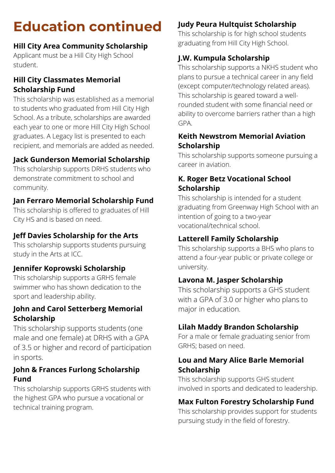#### **Hill City Area Community Scholarship**

Applicant must be a Hill City High School student.

#### **Hill City Classmates Memorial Scholarship Fund**

This scholarship was established as a memorial to students who graduated from Hill City High School. As a tribute, scholarships are awarded each year to one or more Hill City High School graduates. A Legacy list is presented to each recipient, and memorials are added as needed.

#### **Jack Gunderson Memorial Scholarship**

This scholarship supports DRHS students who demonstrate commitment to school and community.

#### **Jan Ferraro Memorial Scholarship Fund**

This scholarship is offered to graduates of Hill City HS and is based on need.

#### **Jeff Davies Scholarship for the Arts**

This scholarship supports students pursuing study in the Arts at ICC.

#### **Jennifer Koprowski Scholarship**

This scholarship supports a GRHS female swimmer who has shown dedication to the sport and leadership ability.

#### **John and Carol Setterberg Memorial Scholarship**

This scholarship supports students (one male and one female) at DRHS with a GPA of 3.5 or higher and record of participation in sports.

#### **John & Frances Furlong Scholarship Fund**

This scholarship supports GRHS students with the highest GPA who pursue a vocational or technical training program.

### **Judy Peura Hultquist Scholarship**

This scholarship is for high school students graduating from Hill City High School.

### **J.W. Kumpula Scholarship**

This scholarship supports a NKHS student who plans to pursue a technical career in any field (except computer/technology related areas). This scholarship is geared toward a wellrounded student with some financial need or ability to overcome barriers rather than a high GPA.

#### **Keith Newstrom Memorial Aviation Scholarship**

This scholarship supports someone pursuing a career in aviation.

#### **K. Roger Betz Vocational School Scholarship**

This scholarship is intended for a student graduating from Greenway High School with an intention of going to a two-year vocational/technical school.

#### **Latterell Family Scholarship**

This scholarship supports a BHS who plans to attend a four-year public or private college or university.

#### **Lavona M. Jasper Scholarship**

This scholarship supports a GHS student with a GPA of 3.0 or higher who plans to major in education.

#### **Lilah Maddy Brandon Scholarship**

For a male or female graduating senior from GRHS; based on need.

#### **Lou and Mary Alice Barle Memorial Scholarship**

This scholarship supports GHS student involved in sports and dedicated to leadership.

#### **Max Fulton Forestry Scholarship Fund**

This scholarship provides support for students pursuing study in the field of forestry.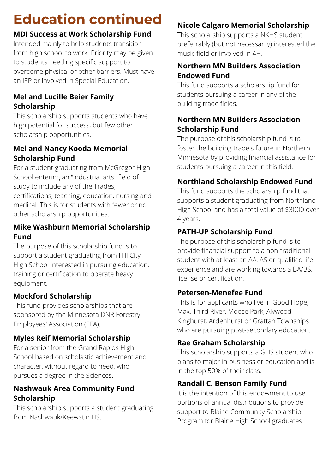## **MDI Success at Work Scholarship Fund**

Intended mainly to help students transition from high school to work. Priority may be given to students needing specific support to overcome physical or other barriers. Must have an IEP or involved in Special Education.

#### **Mel and Lucille Beier Family Scholarship**

This scholarship supports students who have high potential for success, but few other scholarship opportunities.

#### **Mel and Nancy Kooda Memorial Scholarship Fund**

For a student graduating from McGregor High School entering an "industrial arts" field of study to include any of the Trades, certifications, teaching, education, nursing and medical. This is for students with fewer or no other scholarship opportunities.

#### **Mike Washburn Memorial Scholarship Fund**

The purpose of this scholarship fund is to support a student graduating from Hill City High School interested in pursuing education, training or certification to operate heavy equipment.

## **Mockford Scholarship**

This fund provides scholarships that are sponsored by the Minnesota DNR Forestry Employees' Association (FEA).

## **Myles Reif Memorial Scholarship**

For a senior from the Grand Rapids High School based on scholastic achievement and character, without regard to need, who pursues a degree in the Sciences.

### **Nashwauk Area Community Fund Scholarship**

This scholarship supports a student graduating from Nashwauk/Keewatin HS.

## **Nicole Calgaro Memorial Scholarship**

This scholarship supports a NKHS student preferrably (but not necessarily) interested the music field or involved in 4H.

## **Northern MN Builders Association Endowed Fund**

This fund supports a scholarship fund for students pursuing a career in any of the building trade fields.

## **Northern MN Builders Association Scholarship Fund**

The purpose of this scholarship fund is to foster the building trade's future in Northern Minnesota by providing financial assistance for students pursuing a career in this field.

## **Northland Scholarship Endowed Fund**

This fund supports the scholarship fund that supports a student graduating from Northland High School and has a total value of \$3000 over 4 years.

## **PATH-UP Scholarship Fund**

The purpose of this scholarship fund is to provide financial support to a non-traditional student with at least an AA, AS or qualified life experience and are working towards a BA/BS, license or certification.

## **Petersen-Menefee Fund**

This is for applicants who live in Good Hope, Max, Third River, Moose Park, Alvwood, Kinghurst, Ardenhurst or Grattan Townships who are pursuing post-secondary education.

## **Rae Graham Scholarship**

This scholarship supports a GHS student who plans to major in business or education and is in the top 50% of their class.

## **Randall C. Benson Family Fund**

It is the intention of this endowment to use portions of annual distributions to provide support to Blaine Community Scholarship Program for Blaine High School graduates.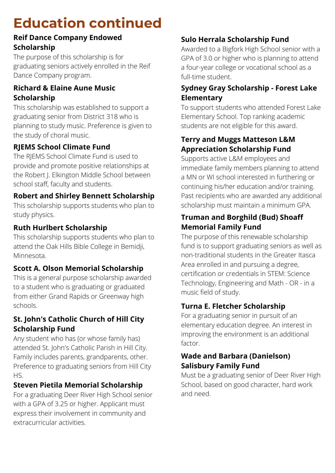#### **Reif Dance Company Endowed Scholarship**

The purpose of this scholarship is for graduating seniors actively enrolled in the Reif Dance Company program.

#### **Richard & Elaine Aune Music Scholarship**

This scholarship was established to support a graduating senior from District 318 who is planning to study music. Preference is given to the study of choral music.

#### **RJEMS School Climate Fund**

The RJEMS School Climate Fund is used to provide and promote positive relationships at the Robert J. Elkington Middle School between school staff, faculty and students.

#### **Robert and Shirley Bennett Scholarship**

This scholarship supports students who plan to study physics.

#### **Ruth Hurlbert Scholarship**

This scholarship supports students who plan to attend the Oak Hills Bible College in Bemidji, Minnesota.

#### **Scott A. Olson Memorial Scholarship**

This is a general purpose scholarship awarded to a student who is graduating or graduated from either Grand Rapids or Greenway high schools.

#### **St. John's Catholic Church of Hill City Scholarship Fund**

Any student who has (or whose family has) attended St. John's Catholic Parish in Hill City. Family includes parents, grandparents, other. Preference to graduating seniors from Hill City HS.

## **Steven Pietila Memorial Scholarship**

For a graduating Deer River High School senior with a GPA of 3.25 or higher. Applicant must express their involvement in community and extracurricular activities.

## **Sulo Herrala Scholarship Fund**

Awarded to a Bigfork High School senior with a GPA of 3.0 or higher who is planning to attend a four-year college or vocational school as a full-time student.

#### **Sydney Gray Scholarship - Forest Lake Elementary**

To support students who attended Forest Lake Elementary School. Top ranking academic students are not eligible for this award.

#### **Terry and Muggs Matteson L&M Appreciation Scholarship Fund**

Supports active L&M employees and immediate family members planning to attend a MN or WI school interested in furthering or continuing his/her education and/or training. Past recipients who are awarded any additional scholarship must maintain a minimum GPA.

#### **Truman and Borghild (Bud) Shoaff Memorial Family Fund**

The purpose of this renewable scholarship fund is to support graduating seniors as well as non-traditional students in the Greater Itasca Area enrolled in and pursuing a degree, certification or credentials in STEM: Science Technology, Engineering and Math - OR - in a music field of study.

## **Turna E. Fletcher Scholarship**

For a graduating senior in pursuit of an elementary education degree. An interest in improving the environment is an additional factor.

#### **Wade and Barbara (Danielson) Salisbury Family Fund**

Must be a graduating senior of Deer River High School, based on good character, hard work and need.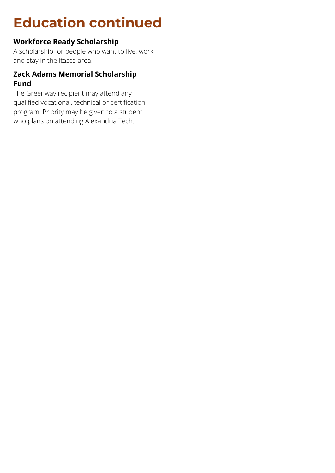### **Workforce Ready Scholarship**

A scholarship for people who want to live, work and stay in the Itasca area.

#### **Zack Adams Memorial Scholarship Fund**

The Greenway recipient may attend any qualified vocational, technical or certification program. Priority may be given to a student who plans on attending Alexandria Tech.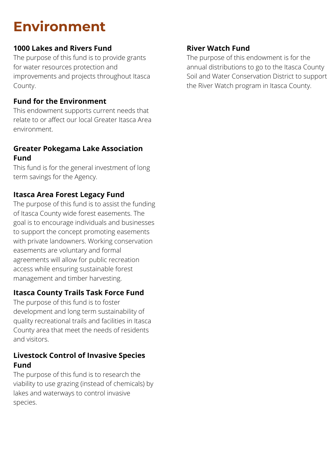## **Environment**

#### **1000 Lakes and Rivers Fund**

The purpose of this fund is to provide grants for water resources protection and improvements and projects throughout Itasca County.

#### **Fund for the Environment**

This endowment supports current needs that relate to or affect our local Greater Itasca Area environment.

#### **Greater Pokegama Lake Association Fund**

This fund is for the general investment of long term savings for the Agency.

#### **Itasca Area Forest Legacy Fund**

The purpose of this fund is to assist the funding of Itasca County wide forest easements. The goal is to encourage individuals and businesses to support the concept promoting easements with private landowners. Working conservation easements are voluntary and formal agreements will allow for public recreation access while ensuring sustainable forest management and timber harvesting.

#### **Itasca County Trails Task Force Fund**

The purpose of this fund is to foster development and long term sustainability of quality recreational trails and facilities in Itasca County area that meet the needs of residents and visitors.

#### **Livestock Control of Invasive Species Fund**

The purpose of this fund is to research the viability to use grazing (instead of chemicals) by lakes and waterways to control invasive species.

#### **River Watch Fund**

The purpose of this endowment is for the annual distributions to go to the Itasca County Soil and Water Conservation District to support the River Watch program in Itasca County.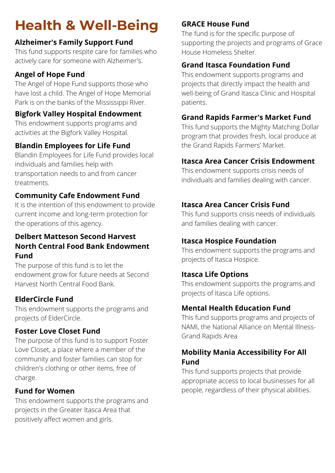# **Health & Well-Being**

### **Alzheimer's Family Support Fund**

This fund supports respite care for families who actively care for someone with Alzheimer's.

## **Angel of Hope Fund**

The Angel of Hope Fund supports those who have lost a child. The Angel of Hope Memorial Park is on the banks of the Mississippi River.

### **Bigfork Valley Hospital Endowment**

This endowment supports programs and activities at the Bigfork Valley Hospital.

## **Blandin Employees for Life Fund**

Blandin Employees for Life Fund provides local individuals and families help with transportation needs to and from cancer treatments.

### **Community Cafe Endowment Fund**

It is the intention of this endowment to provide current income and long-term protection for the operations of this agency.

#### **Delbert Matteson Second Harvest North Central Food Bank Endowment Fund**

The purpose of this fund is to let the endowment grow for future needs at Second Harvest North Central Food Bank.

## **ElderCircle Fund**

This endowment supports the programs and projects of ElderCircle.

#### **Foster Love Closet Fund**

The purpose of this fund is to support Foster Love Closet, a place where a member of the community and foster families can stop for children's clothing or other items, free of charge.

#### **Fund for Women**

This endowment supports the programs and projects in the Greater Itasca Area that positively affect women and girls.

## **GRACE House Fund**

The fund is for the specific purpose of supporting the projects and programs of Grace House Homeless Shelter.

## **Grand Itasca Foundation Fund**

This endowment supports programs and projects that directly impact the health and well-being of Grand Itasca Clinic and Hospital patients.

## **Grand Rapids Farmer's Market Fund**

This fund supports the Mighty Matching Dollar program that provides fresh, local produce at the Grand Rapids Farmers' Market.

## **Itasca Area Cancer Crisis Endowment**

This endowment supports crisis needs of individuals and families dealing with cancer.

## **Itasca Area Cancer Crisis Fund**

This fund supports crisis needs of individuals and families dealing with cancer.

## **Itasca Hospice Foundation**

This endowment supports the programs and projects of Itasca Hospice.

## **Itasca Life Options**

This endowment supports the programs and projects of Itasca Life options.

## **Mental Health Education Fund**

This fund supports programs and projects of NAMI, the National Alliance on Mental Illness-Grand Rapids Area

#### **Mobility Mania Accessibility For All Fund**

This fund supports projects that provide appropriate access to local businesses for all people, regardless of their physical abilities.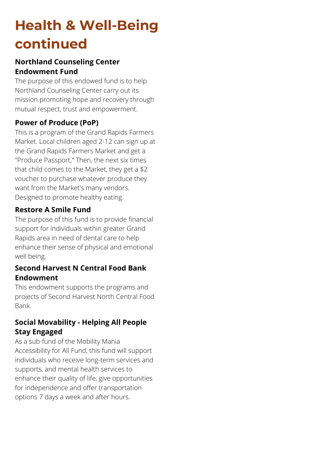## **Health & Well-Being continued**

#### **Northland Counseling Center Endowment Fund**

The purpose of this endowed fund is to help Northland Counseling Center carry out its mission promoting hope and recovery through mutual respect, trust and empowerment.

#### **Power of Produce (PoP)**

This is a program of the Grand Rapids Farmers Market. Local children aged 2-12 can sign up at the Grand Rapids Farmers Market and get a "Produce Passport," Then, the next six times that child comes to the Market, they get a \$2 voucher to purchase whatever produce they want from the Market's many vendors. Designed to promote healthy eating.

#### **Restore A Smile Fund**

The purpose of this fund is to provide financial support for individuals within greater Grand Rapids area in need of dental care to help enhance their sense of physical and emotional well being.

#### **Second Harvest N Central Food Bank Endowment**

This endowment supports the programs and projects of Second Harvest North Central Food Bank.

#### **Social Movability - Helping All People Stay Engaged**

As a sub-fund of the Mobility Mania Accessibility for All Fund, this fund will support individuals who receive long-term services and supports, and mental health services to enhance their quality of life, give opportunities for independence and offer transportation options 7 days a week and after hours.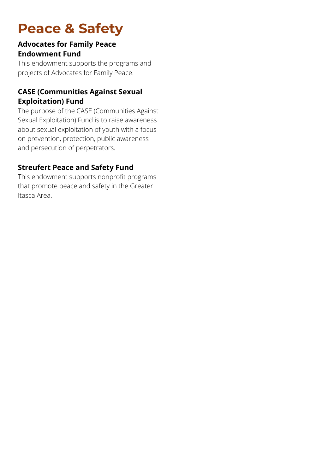## **Peace & Safety**

#### **Advocates for Family Peace Endowment Fund**

This endowment supports the programs and projects of Advocates for Family Peace.

#### **CASE (Communities Against Sexual Exploitation) Fund**

The purpose of the CASE (Communities Against Sexual Exploitation) Fund is to raise awareness about sexual exploitation of youth with a focus on prevention, protection, public awareness and persecution of perpetrators.

#### **Streufert Peace and Safety Fund**

This endowment supports nonprofit programs that promote peace and safety in the Greater Itasca Area.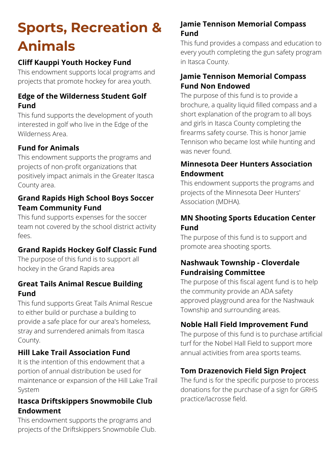## **Sports, Recreation & Animals**

## **Cliff Kauppi Youth Hockey Fund**

This endowment supports local programs and projects that promote hockey for area youth.

#### **Edge of the Wilderness Student Golf Fund**

This fund supports the development of youth interested in golf who live in the Edge of the Wilderness Area.

#### **Fund for Animals**

This endowment supports the programs and projects of non-profit organizations that positively impact animals in the Greater Itasca County area.

#### **Grand Rapids High School Boys Soccer Team Community Fund**

This fund supports expenses for the soccer team not covered by the school district activity fees.

#### **Grand Rapids Hockey Golf Classic Fund**

The purpose of this fund is to support all hockey in the Grand Rapids area

#### **Great Tails Animal Rescue Building Fund**

This fund supports Great Tails Animal Rescue to either build or purchase a building to provide a safe place for our area's homeless, stray and surrendered animals from Itasca County.

#### **Hill Lake Trail Association Fund**

It is the intention of this endowment that a portion of annual distribution be used for maintenance or expansion of the Hill Lake Trail System

#### **Itasca Driftskippers Snowmobile Club Endowment**

This endowment supports the programs and projects of the Driftskippers Snowmobile Club.

#### **Jamie Tennison Memorial Compass Fund**

This fund provides a compass and education to every youth completing the gun safety program in Itasca County.

#### **Jamie Tennison Memorial Compass Fund Non Endowed**

The purpose of this fund is to provide a brochure, a quality liquid filled compass and a short explanation of the program to all boys and girls in Itasca County completing the firearms safety course. This is honor Jamie Tennison who became lost while hunting and was never found.

#### **Minnesota Deer Hunters Association Endowment**

This endowment supports the programs and projects of the Minnesota Deer Hunters' Association (MDHA).

#### **MN Shooting Sports Education Center Fund**

The purpose of this fund is to support and promote area shooting sports.

#### **Nashwauk Township - Cloverdale Fundraising Committee**

The purpose of this fiscal agent fund is to help the community provide an ADA safety approved playground area for the Nashwauk Township and surrounding areas.

#### **Noble Hall Field Improvement Fund**

The purpose of this fund is to purchase artificial turf for the Nobel Hall Field to support more annual activities from area sports teams.

#### **Tom Drazenovich Field Sign Project**

The fund is for the specific purpose to process donations for the purchase of a sign for GRHS practice/lacrosse field.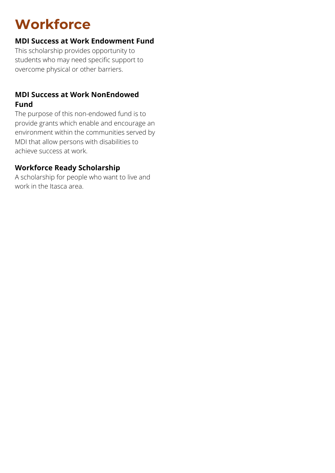## **Workforce**

#### **MDI Success at Work Endowment Fund**

This scholarship provides opportunity to students who may need specific support to overcome physical or other barriers.

#### **MDI Success at Work NonEndowed Fund**

The purpose of this non-endowed fund is to provide grants which enable and encourage an environment within the communities served by MDI that allow persons with disabilities to achieve success at work.

#### **Workforce Ready Scholarship**

A scholarship for people who want to live and work in the Itasca area.